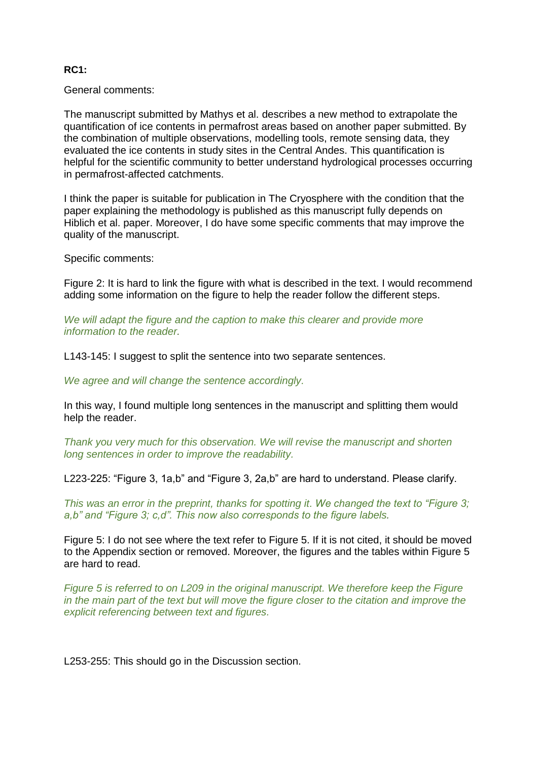## **RC1:**

## General comments:

The manuscript submitted by Mathys et al. describes a new method to extrapolate the quantification of ice contents in permafrost areas based on another paper submitted. By the combination of multiple observations, modelling tools, remote sensing data, they evaluated the ice contents in study sites in the Central Andes. This quantification is helpful for the scientific community to better understand hydrological processes occurring in permafrost-affected catchments.

I think the paper is suitable for publication in The Cryosphere with the condition that the paper explaining the methodology is published as this manuscript fully depends on Hiblich et al. paper. Moreover, I do have some specific comments that may improve the quality of the manuscript.

Specific comments:

Figure 2: It is hard to link the figure with what is described in the text. I would recommend adding some information on the figure to help the reader follow the different steps.

*We will adapt the figure and the caption to make this clearer and provide more information to the reader.*

L143-145: I suggest to split the sentence into two separate sentences.

*We agree and will change the sentence accordingly.*

In this way, I found multiple long sentences in the manuscript and splitting them would help the reader.

*Thank you very much for this observation. We will revise the manuscript and shorten long sentences in order to improve the readability.*

L223-225: "Figure 3, 1a,b" and "Figure 3, 2a,b" are hard to understand. Please clarify.

*This was an error in the preprint, thanks for spotting it. We changed the text to "Figure 3; a,b" and "Figure 3; c,d". This now also corresponds to the figure labels.*

Figure 5: I do not see where the text refer to Figure 5. If it is not cited, it should be moved to the Appendix section or removed. Moreover, the figures and the tables within Figure 5 are hard to read.

*Figure 5 is referred to on L209 in the original manuscript. We therefore keep the Figure in the main part of the text but will move the figure closer to the citation and improve the explicit referencing between text and figures.* 

L253-255: This should go in the Discussion section.